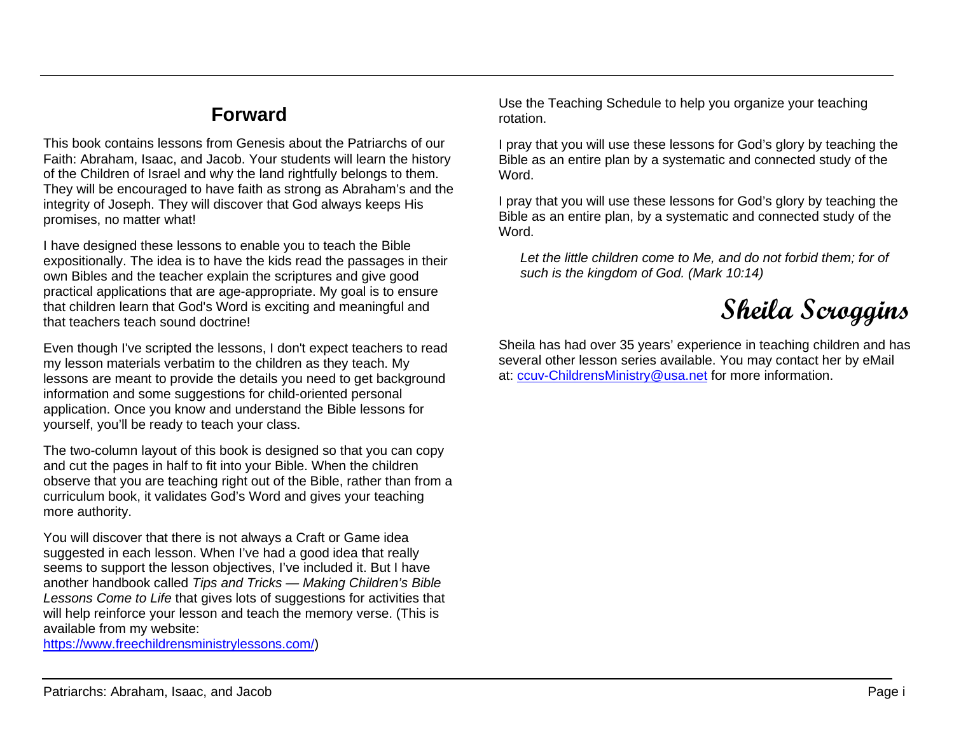## **Forward**

This book contains lessons from Genesis about the Patriarchs of our Faith: Abraham, Isaac, and Jacob. Your students will learn the history of the Children of Israel and why the land rightfully belongs to them. They will be encouraged to have faith as strong as Abraham's and the integrity of Joseph. They will discover that God always keeps His promises, no matter what!

I have designed these lessons to enable you to teach the Bible expositionally. The idea is to have the kids read the passages in their own Bibles and the teacher explain the scriptures and give good practical applications that are age-appropriate. My goal is to ensure that children learn that God's Word is exciting and meaningful and that teachers teach sound doctrine!

Even though I've scripted the lessons, I don't expect teachers to read my lesson materials verbatim to the children as they teach. My lessons are meant to provide the details you need to get background information and some suggestions for child-oriented personal application. Once you know and understand the Bible lessons for yourself, you'll be ready to teach your class.

The two-column layout of this book is designed so that you can copy and cut the pages in half to fit into your Bible. When the children observe that you are teaching right out of the Bible, rather than from a curriculum book, it validates God's Word and gives your teaching more authority.

You will discover that there is not always a Craft or Game idea suggested in each lesson. When I've had a good idea that really seems to support the lesson objectives, I've included it. But I have another handbook called *Tips and Tricks — Making Children's Bible Lessons Come to Life* that gives lots of suggestions for activities that will help reinforce your lesson and teach the memory verse. (This is available from my website:

[https://www.freechildrensministrylessons.com/\)](https://www.freechildrensministrylessons.com/)

Use the Teaching Schedule to help you organize your teaching rotation.

I pray that you will use these lessons for God's glory by teaching the Bible as an entire plan by a systematic and connected study of the Word.

I pray that you will use these lessons for God's glory by teaching the Bible as an entire plan, by a systematic and connected study of the Word.

Let the little children come to Me, and do not forbid them; for of *such is the kingdom of God. (Mark 10:14)*

**Sheila Scroggins**

Sheila has had over 35 years' experience in teaching children and has several other lesson series available. You may contact her by eMail at: [ccuv-ChildrensMinistry@usa.net](mailto:ccuv-ChildrensMinistry@usa.net) for more information.